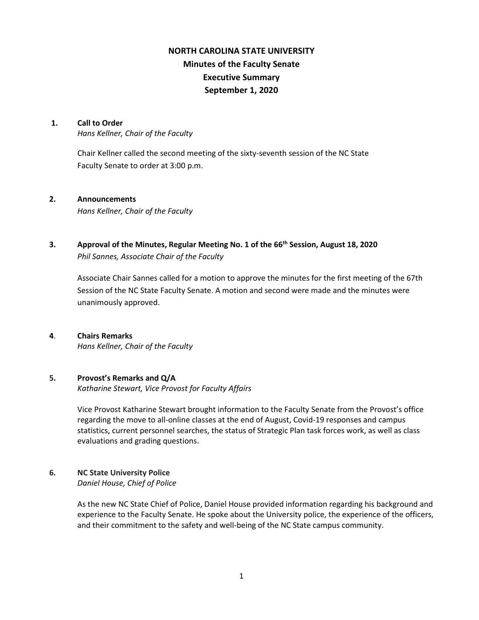# **NORTH CAROLINA STATE UNIVERSITY Minutes of the Faculty Senate Executive Summary September 1, 2020**

#### **1. Call to Order**

*Hans Kellner, Chair of the Faculty*

Chair Kellner called the second meeting of the sixty-seventh session of the NC State Faculty Senate to order at 3:00 p.m.

#### **2. Announcements**

*Hans Kellner, Chair of the Faculty*

## **3. Approval of the Minutes, Regular Meeting No. 1 of the 66th Session, August 18, 2020** *Phil Sannes, Associate Chair of the Faculty*

Associate Chair Sannes called for a motion to approve the minutes for the first meeting of the 67th Session of the NC State Faculty Senate. A motion and second were made and the minutes were unanimously approved.

#### **4**. **Chairs Remarks**

*Hans Kellner, Chair of the Faculty*

#### **5. Provost's Remarks and Q/A**

*Katharine Stewart, Vice Provost for Faculty Affairs*

Vice Provost Katharine Stewart brought information to the Faculty Senate from the Provost's office regarding the move to all-online classes at the end of August, Covid-19 responses and campus statistics, current personnel searches, the status of Strategic Plan task forces work, as well as class evaluations and grading questions.

## **6. NC State University Police**

*Daniel House, Chief of Police*

As the new NC State Chief of Police, Daniel House provided information regarding his background and experience to the Faculty Senate. He spoke about the University police, the experience of the officers, and their commitment to the safety and well-being of the NC State campus community.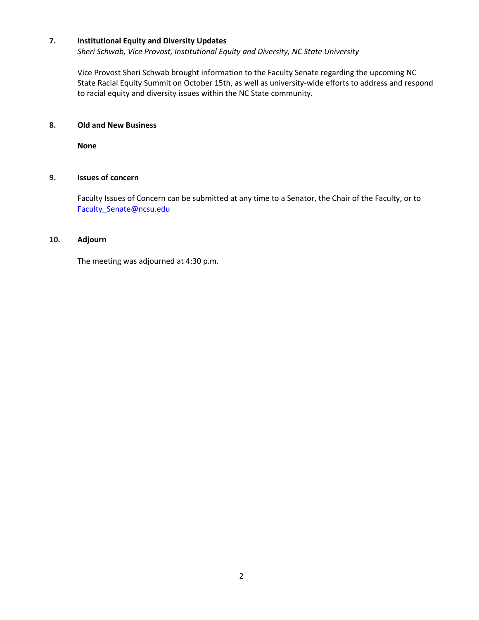### **7. Institutional Equity and Diversity Updates**

*Sheri Schwab, Vice Provost, Institutional Equity and Diversity, NC State University*

Vice Provost Sheri Schwab brought information to the Faculty Senate regarding the upcoming NC State Racial Equity Summit on October 15th, as well as university-wide efforts to address and respond to racial equity and diversity issues within the NC State community.

## **8. Old and New Business**

**None**

## **9. Issues of concern**

Faculty Issues of Concern can be submitted at any time to a Senator, the Chair of the Faculty, or to [Faculty\\_Senate@ncsu.edu](mailto:Faculty_Senate@ncsu.edu)

#### **10. Adjourn**

The meeting was adjourned at 4:30 p.m.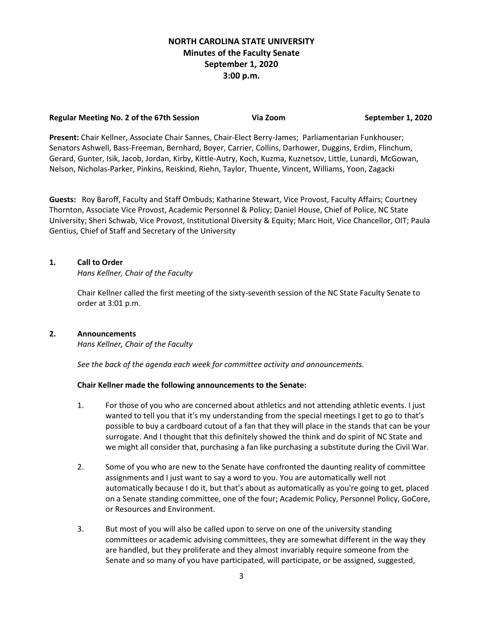## **NORTH CAROLINA STATE UNIVERSITY Minutes of the Faculty Senate September 1, 2020 3:00 p.m.**

#### **Regular Meeting No. 2 of the 67th Session Via Zoom September 1, 2020**

**Present:** Chair Kellner, Associate Chair Sannes, Chair-Elect Berry-James; Parliamentarian Funkhouser; Senators Ashwell, Bass-Freeman, Bernhard, Boyer, Carrier, Collins, Darhower, Duggins, Erdim, Flinchum, Gerard, Gunter, Isik, Jacob, Jordan, Kirby, Kittle-Autry, Koch, Kuzma, Kuznetsov, Little, Lunardi, McGowan, Nelson, Nicholas-Parker, Pinkins, Reiskind, Riehn, Taylor, Thuente, Vincent, Williams, Yoon, Zagacki

**Guests:** Roy Baroff, Faculty and Staff Ombuds; Katharine Stewart, Vice Provost, Faculty Affairs; Courtney Thornton, Associate Vice Provost, Academic Personnel & Policy; Daniel House, Chief of Police, NC State University; Sheri Schwab, Vice Provost, Institutional Diversity & Equity; Marc Hoit, Vice Chancellor, OIT; Paula Gentius, Chief of Staff and Secretary of the University

## **1. Call to Order**

*Hans Kellner, Chair of the Faculty*

Chair Kellner called the first meeting of the sixty-seventh session of the NC State Faculty Senate to order at 3:01 p.m.

#### **2. Announcements**

*Hans Kellner, Chair of the Faculty*

*See the back of the agenda each week for committee activity and announcements.*

#### **Chair Kellner made the following announcements to the Senate:**

- 1. For those of you who are concerned about athletics and not attending athletic events. I just wanted to tell you that it's my understanding from the special meetings I get to go to that's possible to buy a cardboard cutout of a fan that they will place in the stands that can be your surrogate. And I thought that this definitely showed the think and do spirit of NC State and we might all consider that, purchasing a fan like purchasing a substitute during the Civil War.
- 2. Some of you who are new to the Senate have confronted the daunting reality of committee assignments and I just want to say a word to you. You are automatically well not automatically because I do it, but that's about as automatically as you're going to get, placed on a Senate standing committee, one of the four; Academic Policy, Personnel Policy, GoCore, or Resources and Environment.
- 3. But most of you will also be called upon to serve on one of the university standing committees or academic advising committees, they are somewhat different in the way they are handled, but they proliferate and they almost invariably require someone from the Senate and so many of you have participated, will participate, or be assigned, suggested,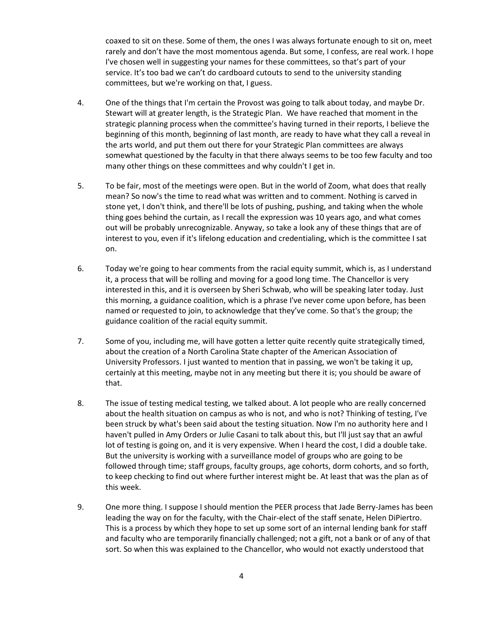coaxed to sit on these. Some of them, the ones I was always fortunate enough to sit on, meet rarely and don't have the most momentous agenda. But some, I confess, are real work. I hope I've chosen well in suggesting your names for these committees, so that's part of your service. It's too bad we can't do cardboard cutouts to send to the university standing committees, but we're working on that, I guess.

- 4. One of the things that I'm certain the Provost was going to talk about today, and maybe Dr. Stewart will at greater length, is the Strategic Plan. We have reached that moment in the strategic planning process when the committee's having turned in their reports, I believe the beginning of this month, beginning of last month, are ready to have what they call a reveal in the arts world, and put them out there for your Strategic Plan committees are always somewhat questioned by the faculty in that there always seems to be too few faculty and too many other things on these committees and why couldn't I get in.
- 5. To be fair, most of the meetings were open. But in the world of Zoom, what does that really mean? So now's the time to read what was written and to comment. Nothing is carved in stone yet, I don't think, and there'll be lots of pushing, pushing, and taking when the whole thing goes behind the curtain, as I recall the expression was 10 years ago, and what comes out will be probably unrecognizable. Anyway, so take a look any of these things that are of interest to you, even if it's lifelong education and credentialing, which is the committee I sat on.
- 6. Today we're going to hear comments from the racial equity summit, which is, as I understand it, a process that will be rolling and moving for a good long time. The Chancellor is very interested in this, and it is overseen by Sheri Schwab, who will be speaking later today. Just this morning, a guidance coalition, which is a phrase I've never come upon before, has been named or requested to join, to acknowledge that they've come. So that's the group; the guidance coalition of the racial equity summit.
- 7. Some of you, including me, will have gotten a letter quite recently quite strategically timed, about the creation of a North Carolina State chapter of the American Association of University Professors. I just wanted to mention that in passing, we won't be taking it up, certainly at this meeting, maybe not in any meeting but there it is; you should be aware of that.
- 8. The issue of testing medical testing, we talked about. A lot people who are really concerned about the health situation on campus as who is not, and who is not? Thinking of testing, I've been struck by what's been said about the testing situation. Now I'm no authority here and I haven't pulled in Amy Orders or Julie Casani to talk about this, but I'll just say that an awful lot of testing is going on, and it is very expensive. When I heard the cost, I did a double take. But the university is working with a surveillance model of groups who are going to be followed through time; staff groups, faculty groups, age cohorts, dorm cohorts, and so forth, to keep checking to find out where further interest might be. At least that was the plan as of this week.
- 9. One more thing. I suppose I should mention the PEER process that Jade Berry-James has been leading the way on for the faculty, with the Chair-elect of the staff senate, Helen DiPiertro. This is a process by which they hope to set up some sort of an internal lending bank for staff and faculty who are temporarily financially challenged; not a gift, not a bank or of any of that sort. So when this was explained to the Chancellor, who would not exactly understood that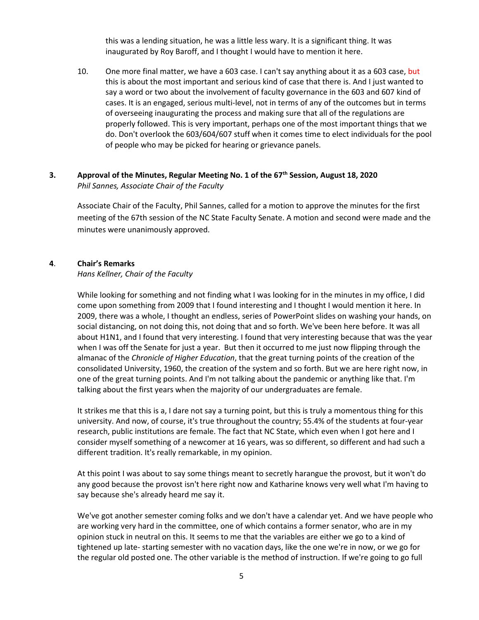this was a lending situation, he was a little less wary. It is a significant thing. It was inaugurated by Roy Baroff, and I thought I would have to mention it here.

10. One more final matter, we have a 603 case. I can't say anything about it as a 603 case, but this is about the most important and serious kind of case that there is. And I just wanted to say a word or two about the involvement of faculty governance in the 603 and 607 kind of cases. It is an engaged, serious multi-level, not in terms of any of the outcomes but in terms of overseeing inaugurating the process and making sure that all of the regulations are properly followed. This is very important, perhaps one of the most important things that we do. Don't overlook the 603/604/607 stuff when it comes time to elect individuals for the pool of people who may be picked for hearing or grievance panels.

### **3. Approval of the Minutes, Regular Meeting No. 1 of the 67th Session, August 18, 2020** *Phil Sannes, Associate Chair of the Faculty*

Associate Chair of the Faculty, Phil Sannes, called for a motion to approve the minutes for the first meeting of the 67th session of the NC State Faculty Senate. A motion and second were made and the minutes were unanimously approved.

#### **4**. **Chair's Remarks**

#### *Hans Kellner, Chair of the Faculty*

While looking for something and not finding what I was looking for in the minutes in my office, I did come upon something from 2009 that I found interesting and I thought I would mention it here. In 2009, there was a whole, I thought an endless, series of PowerPoint slides on washing your hands, on social distancing, on not doing this, not doing that and so forth. We've been here before. It was all about H1N1, and I found that very interesting. I found that very interesting because that was the year when I was off the Senate for just a year. But then it occurred to me just now flipping through the almanac of the *Chronicle of Higher Education*, that the great turning points of the creation of the consolidated University, 1960, the creation of the system and so forth. But we are here right now, in one of the great turning points. And I'm not talking about the pandemic or anything like that. I'm talking about the first years when the majority of our undergraduates are female.

It strikes me that this is a, I dare not say a turning point, but this is truly a momentous thing for this university. And now, of course, it's true throughout the country; 55.4% of the students at four-year research, public institutions are female. The fact that NC State, which even when I got here and I consider myself something of a newcomer at 16 years, was so different, so different and had such a different tradition. It's really remarkable, in my opinion.

At this point I was about to say some things meant to secretly harangue the provost, but it won't do any good because the provost isn't here right now and Katharine knows very well what I'm having to say because she's already heard me say it.

We've got another semester coming folks and we don't have a calendar yet. And we have people who are working very hard in the committee, one of which contains a former senator, who are in my opinion stuck in neutral on this. It seems to me that the variables are either we go to a kind of tightened up late- starting semester with no vacation days, like the one we're in now, or we go for the regular old posted one. The other variable is the method of instruction. If we're going to go full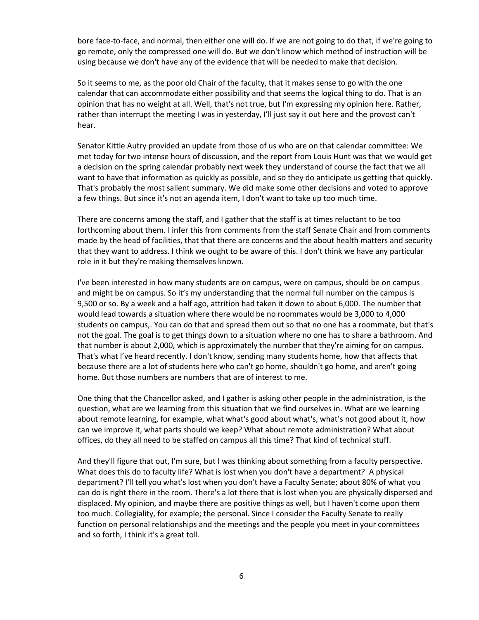bore face-to-face, and normal, then either one will do. If we are not going to do that, if we're going to go remote, only the compressed one will do. But we don't know which method of instruction will be using because we don't have any of the evidence that will be needed to make that decision.

So it seems to me, as the poor old Chair of the faculty, that it makes sense to go with the one calendar that can accommodate either possibility and that seems the logical thing to do. That is an opinion that has no weight at all. Well, that's not true, but I'm expressing my opinion here. Rather, rather than interrupt the meeting I was in yesterday, I'll just say it out here and the provost can't hear.

Senator Kittle Autry provided an update from those of us who are on that calendar committee: We met today for two intense hours of discussion, and the report from Louis Hunt was that we would get a decision on the spring calendar probably next week they understand of course the fact that we all want to have that information as quickly as possible, and so they do anticipate us getting that quickly. That's probably the most salient summary. We did make some other decisions and voted to approve a few things. But since it's not an agenda item, I don't want to take up too much time.

There are concerns among the staff, and I gather that the staff is at times reluctant to be too forthcoming about them. I infer this from comments from the staff Senate Chair and from comments made by the head of facilities, that that there are concerns and the about health matters and security that they want to address. I think we ought to be aware of this. I don't think we have any particular role in it but they're making themselves known.

I've been interested in how many students are on campus, were on campus, should be on campus and might be on campus. So it's my understanding that the normal full number on the campus is 9,500 or so. By a week and a half ago, attrition had taken it down to about 6,000. The number that would lead towards a situation where there would be no roommates would be 3,000 to 4,000 students on campus,. You can do that and spread them out so that no one has a roommate, but that's not the goal. The goal is to get things down to a situation where no one has to share a bathroom. And that number is about 2,000, which is approximately the number that they're aiming for on campus. That's what I've heard recently. I don't know, sending many students home, how that affects that because there are a lot of students here who can't go home, shouldn't go home, and aren't going home. But those numbers are numbers that are of interest to me.

One thing that the Chancellor asked, and I gather is asking other people in the administration, is the question, what are we learning from this situation that we find ourselves in. What are we learning about remote learning, for example, what what's good about what's, what's not good about it, how can we improve it, what parts should we keep? What about remote administration? What about offices, do they all need to be staffed on campus all this time? That kind of technical stuff.

And they'll figure that out, I'm sure, but I was thinking about something from a faculty perspective. What does this do to faculty life? What is lost when you don't have a department? A physical department? I'll tell you what's lost when you don't have a Faculty Senate; about 80% of what you can do is right there in the room. There's a lot there that is lost when you are physically dispersed and displaced. My opinion, and maybe there are positive things as well, but I haven't come upon them too much. Collegiality, for example; the personal. Since I consider the Faculty Senate to really function on personal relationships and the meetings and the people you meet in your committees and so forth, I think it's a great toll.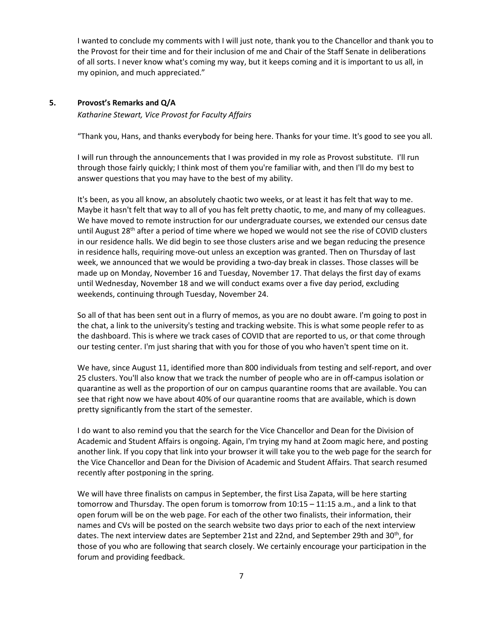I wanted to conclude my comments with I will just note, thank you to the Chancellor and thank you to the Provost for their time and for their inclusion of me and Chair of the Staff Senate in deliberations of all sorts. I never know what's coming my way, but it keeps coming and it is important to us all, in my opinion, and much appreciated."

#### **5. Provost's Remarks and Q/A**

*Katharine Stewart, Vice Provost for Faculty Affairs*

"Thank you, Hans, and thanks everybody for being here. Thanks for your time. It's good to see you all.

I will run through the announcements that I was provided in my role as Provost substitute. I'll run through those fairly quickly; I think most of them you're familiar with, and then I'll do my best to answer questions that you may have to the best of my ability.

It's been, as you all know, an absolutely chaotic two weeks, or at least it has felt that way to me. Maybe it hasn't felt that way to all of you has felt pretty chaotic, to me, and many of my colleagues. We have moved to remote instruction for our undergraduate courses, we extended our census date until August  $28<sup>th</sup>$  after a period of time where we hoped we would not see the rise of COVID clusters in our residence halls. We did begin to see those clusters arise and we began reducing the presence in residence halls, requiring move-out unless an exception was granted. Then on Thursday of last week, we announced that we would be providing a two-day break in classes. Those classes will be made up on Monday, November 16 and Tuesday, November 17. That delays the first day of exams until Wednesday, November 18 and we will conduct exams over a five day period, excluding weekends, continuing through Tuesday, November 24.

So all of that has been sent out in a flurry of memos, as you are no doubt aware. I'm going to post in the chat, a link to the university's testing and tracking website. This is what some people refer to as the dashboard. This is where we track cases of COVID that are reported to us, or that come through our testing center. I'm just sharing that with you for those of you who haven't spent time on it.

We have, since August 11, identified more than 800 individuals from testing and self-report, and over 25 clusters. You'll also know that we track the number of people who are in off-campus isolation or quarantine as well as the proportion of our on campus quarantine rooms that are available. You can see that right now we have about 40% of our quarantine rooms that are available, which is down pretty significantly from the start of the semester.

I do want to also remind you that the search for the Vice Chancellor and Dean for the Division of Academic and Student Affairs is ongoing. Again, I'm trying my hand at Zoom magic here, and posting another link. If you copy that link into your browser it will take you to the web page for the search for the Vice Chancellor and Dean for the Division of Academic and Student Affairs. That search resumed recently after postponing in the spring.

We will have three finalists on campus in September, the first Lisa Zapata, will be here starting tomorrow and Thursday. The open forum is tomorrow from 10:15 – 11:15 a.m., and a link to that open forum will be on the web page. For each of the other two finalists, their information, their names and CVs will be posted on the search website two days prior to each of the next interview dates. The next interview dates are September 21st and 22nd, and September 29th and 30<sup>th</sup>, for those of you who are following that search closely. We certainly encourage your participation in the forum and providing feedback.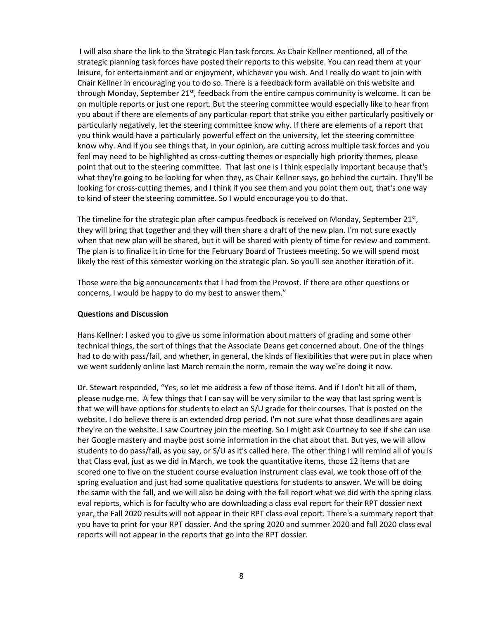I will also share the link to the Strategic Plan task forces. As Chair Kellner mentioned, all of the strategic planning task forces have posted their reports to this website. You can read them at your leisure, for entertainment and or enjoyment, whichever you wish. And I really do want to join with Chair Kellner in encouraging you to do so. There is a feedback form available on this website and through Monday, September  $21^{st}$ , feedback from the entire campus community is welcome. It can be on multiple reports or just one report. But the steering committee would especially like to hear from you about if there are elements of any particular report that strike you either particularly positively or particularly negatively, let the steering committee know why. If there are elements of a report that you think would have a particularly powerful effect on the university, let the steering committee know why. And if you see things that, in your opinion, are cutting across multiple task forces and you feel may need to be highlighted as cross-cutting themes or especially high priority themes, please point that out to the steering committee. That last one is I think especially important because that's what they're going to be looking for when they, as Chair Kellner says, go behind the curtain. They'll be looking for cross-cutting themes, and I think if you see them and you point them out, that's one way to kind of steer the steering committee. So I would encourage you to do that.

The timeline for the strategic plan after campus feedback is received on Monday, September 21st, they will bring that together and they will then share a draft of the new plan. I'm not sure exactly when that new plan will be shared, but it will be shared with plenty of time for review and comment. The plan is to finalize it in time for the February Board of Trustees meeting. So we will spend most likely the rest of this semester working on the strategic plan. So you'll see another iteration of it.

Those were the big announcements that I had from the Provost. If there are other questions or concerns, I would be happy to do my best to answer them."

#### **Questions and Discussion**

Hans Kellner: I asked you to give us some information about matters of grading and some other technical things, the sort of things that the Associate Deans get concerned about. One of the things had to do with pass/fail, and whether, in general, the kinds of flexibilities that were put in place when we went suddenly online last March remain the norm, remain the way we're doing it now.

Dr. Stewart responded, "Yes, so let me address a few of those items. And if I don't hit all of them, please nudge me. A few things that I can say will be very similar to the way that last spring went is that we will have options for students to elect an S/U grade for their courses. That is posted on the website. I do believe there is an extended drop period. I'm not sure what those deadlines are again they're on the website. I saw Courtney join the meeting. So I might ask Courtney to see if she can use her Google mastery and maybe post some information in the chat about that. But yes, we will allow students to do pass/fail, as you say, or S/U as it's called here. The other thing I will remind all of you is that Class eval, just as we did in March, we took the quantitative items, those 12 items that are scored one to five on the student course evaluation instrument class eval, we took those off of the spring evaluation and just had some qualitative questions for students to answer. We will be doing the same with the fall, and we will also be doing with the fall report what we did with the spring class eval reports, which is for faculty who are downloading a class eval report for their RPT dossier next year, the Fall 2020 results will not appear in their RPT class eval report. There's a summary report that you have to print for your RPT dossier. And the spring 2020 and summer 2020 and fall 2020 class eval reports will not appear in the reports that go into the RPT dossier.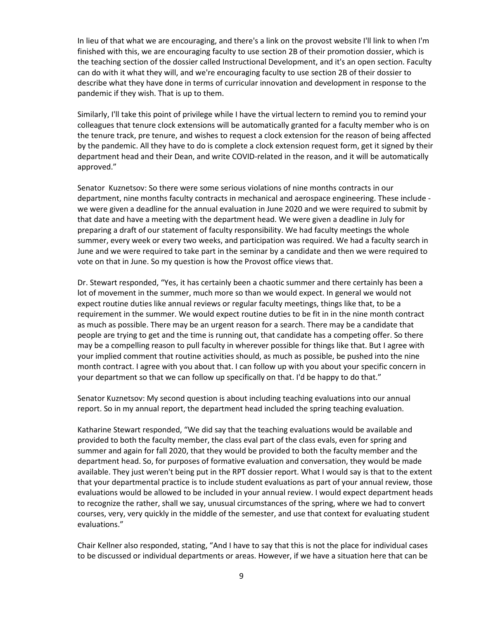In lieu of that what we are encouraging, and there's a link on the provost website I'll link to when I'm finished with this, we are encouraging faculty to use section 2B of their promotion dossier, which is the teaching section of the dossier called Instructional Development, and it's an open section. Faculty can do with it what they will, and we're encouraging faculty to use section 2B of their dossier to describe what they have done in terms of curricular innovation and development in response to the pandemic if they wish. That is up to them.

Similarly, I'll take this point of privilege while I have the virtual lectern to remind you to remind your colleagues that tenure clock extensions will be automatically granted for a faculty member who is on the tenure track, pre tenure, and wishes to request a clock extension for the reason of being affected by the pandemic. All they have to do is complete a clock extension request form, get it signed by their department head and their Dean, and write COVID-related in the reason, and it will be automatically approved."

Senator Kuznetsov: So there were some serious violations of nine months contracts in our department, nine months faculty contracts in mechanical and aerospace engineering. These include we were given a deadline for the annual evaluation in June 2020 and we were required to submit by that date and have a meeting with the department head. We were given a deadline in July for preparing a draft of our statement of faculty responsibility. We had faculty meetings the whole summer, every week or every two weeks, and participation was required. We had a faculty search in June and we were required to take part in the seminar by a candidate and then we were required to vote on that in June. So my question is how the Provost office views that.

Dr. Stewart responded, "Yes, it has certainly been a chaotic summer and there certainly has been a lot of movement in the summer, much more so than we would expect. In general we would not expect routine duties like annual reviews or regular faculty meetings, things like that, to be a requirement in the summer. We would expect routine duties to be fit in in the nine month contract as much as possible. There may be an urgent reason for a search. There may be a candidate that people are trying to get and the time is running out, that candidate has a competing offer. So there may be a compelling reason to pull faculty in wherever possible for things like that. But I agree with your implied comment that routine activities should, as much as possible, be pushed into the nine month contract. I agree with you about that. I can follow up with you about your specific concern in your department so that we can follow up specifically on that. I'd be happy to do that."

Senator Kuznetsov: My second question is about including teaching evaluations into our annual report. So in my annual report, the department head included the spring teaching evaluation.

Katharine Stewart responded, "We did say that the teaching evaluations would be available and provided to both the faculty member, the class eval part of the class evals, even for spring and summer and again for fall 2020, that they would be provided to both the faculty member and the department head. So, for purposes of formative evaluation and conversation, they would be made available. They just weren't being put in the RPT dossier report. What I would say is that to the extent that your departmental practice is to include student evaluations as part of your annual review, those evaluations would be allowed to be included in your annual review. I would expect department heads to recognize the rather, shall we say, unusual circumstances of the spring, where we had to convert courses, very, very quickly in the middle of the semester, and use that context for evaluating student evaluations."

Chair Kellner also responded, stating, "And I have to say that this is not the place for individual cases to be discussed or individual departments or areas. However, if we have a situation here that can be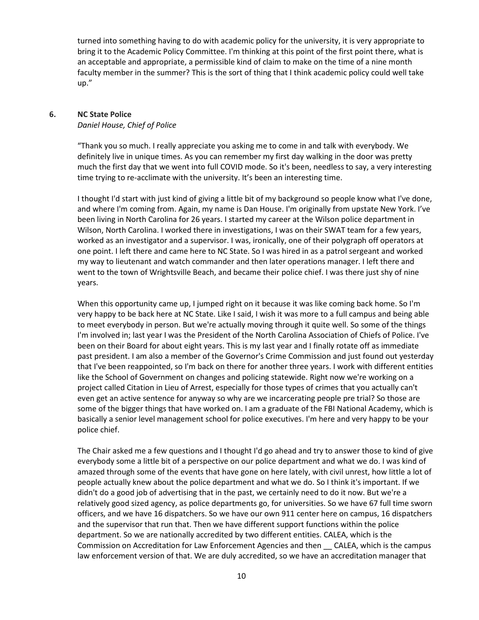turned into something having to do with academic policy for the university, it is very appropriate to bring it to the Academic Policy Committee. I'm thinking at this point of the first point there, what is an acceptable and appropriate, a permissible kind of claim to make on the time of a nine month faculty member in the summer? This is the sort of thing that I think academic policy could well take up."

#### **6. NC State Police**  *Daniel House, Chief of Police*

"Thank you so much. I really appreciate you asking me to come in and talk with everybody. We definitely live in unique times. As you can remember my first day walking in the door was pretty much the first day that we went into full COVID mode. So it's been, needless to say, a very interesting time trying to re-acclimate with the university. It's been an interesting time.

I thought I'd start with just kind of giving a little bit of my background so people know what I've done, and where I'm coming from. Again, my name is Dan House. I'm originally from upstate New York. I've been living in North Carolina for 26 years. I started my career at the Wilson police department in Wilson, North Carolina. I worked there in investigations, I was on their SWAT team for a few years, worked as an investigator and a supervisor. I was, ironically, one of their polygraph off operators at one point. I left there and came here to NC State. So I was hired in as a patrol sergeant and worked my way to lieutenant and watch commander and then later operations manager. I left there and went to the town of Wrightsville Beach, and became their police chief. I was there just shy of nine years.

When this opportunity came up, I jumped right on it because it was like coming back home. So I'm very happy to be back here at NC State. Like I said, I wish it was more to a full campus and being able to meet everybody in person. But we're actually moving through it quite well. So some of the things I'm involved in; last year I was the President of the North Carolina Association of Chiefs of Police. I've been on their Board for about eight years. This is my last year and I finally rotate off as immediate past president. I am also a member of the Governor's Crime Commission and just found out yesterday that I've been reappointed, so I'm back on there for another three years. I work with different entities like the School of Government on changes and policing statewide. Right now we're working on a project called Citation in Lieu of Arrest, especially for those types of crimes that you actually can't even get an active sentence for anyway so why are we incarcerating people pre trial? So those are some of the bigger things that have worked on. I am a graduate of the FBI National Academy, which is basically a senior level management school for police executives. I'm here and very happy to be your police chief.

The Chair asked me a few questions and I thought I'd go ahead and try to answer those to kind of give everybody some a little bit of a perspective on our police department and what we do. I was kind of amazed through some of the events that have gone on here lately, with civil unrest, how little a lot of people actually knew about the police department and what we do. So I think it's important. If we didn't do a good job of advertising that in the past, we certainly need to do it now. But we're a relatively good sized agency, as police departments go, for universities. So we have 67 full time sworn officers, and we have 16 dispatchers. So we have our own 911 center here on campus, 16 dispatchers and the supervisor that run that. Then we have different support functions within the police department. So we are nationally accredited by two different entities. CALEA, which is the Commission on Accreditation for Law Enforcement Agencies and then \_\_ CALEA, which is the campus law enforcement version of that. We are duly accredited, so we have an accreditation manager that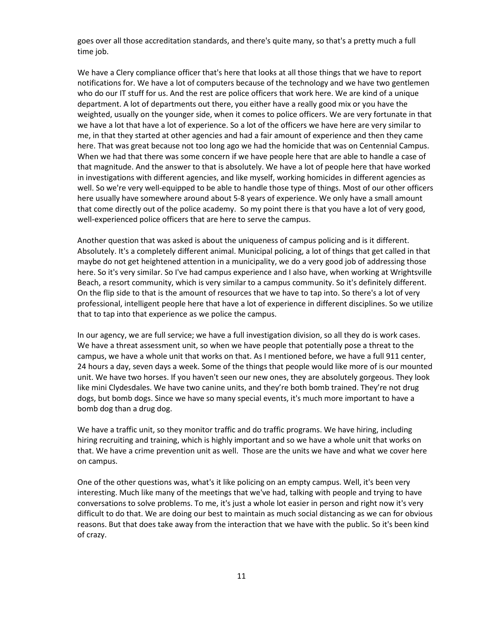goes over all those accreditation standards, and there's quite many, so that's a pretty much a full time job.

We have a Clery compliance officer that's here that looks at all those things that we have to report notifications for. We have a lot of computers because of the technology and we have two gentlemen who do our IT stuff for us. And the rest are police officers that work here. We are kind of a unique department. A lot of departments out there, you either have a really good mix or you have the weighted, usually on the younger side, when it comes to police officers. We are very fortunate in that we have a lot that have a lot of experience. So a lot of the officers we have here are very similar to me, in that they started at other agencies and had a fair amount of experience and then they came here. That was great because not too long ago we had the homicide that was on Centennial Campus. When we had that there was some concern if we have people here that are able to handle a case of that magnitude. And the answer to that is absolutely. We have a lot of people here that have worked in investigations with different agencies, and like myself, working homicides in different agencies as well. So we're very well-equipped to be able to handle those type of things. Most of our other officers here usually have somewhere around about 5-8 years of experience. We only have a small amount that come directly out of the police academy. So my point there is that you have a lot of very good, well-experienced police officers that are here to serve the campus.

Another question that was asked is about the uniqueness of campus policing and is it different. Absolutely. It's a completely different animal. Municipal policing, a lot of things that get called in that maybe do not get heightened attention in a municipality, we do a very good job of addressing those here. So it's very similar. So I've had campus experience and I also have, when working at Wrightsville Beach, a resort community, which is very similar to a campus community. So it's definitely different. On the flip side to that is the amount of resources that we have to tap into. So there's a lot of very professional, intelligent people here that have a lot of experience in different disciplines. So we utilize that to tap into that experience as we police the campus.

In our agency, we are full service; we have a full investigation division, so all they do is work cases. We have a threat assessment unit, so when we have people that potentially pose a threat to the campus, we have a whole unit that works on that. As I mentioned before, we have a full 911 center, 24 hours a day, seven days a week. Some of the things that people would like more of is our mounted unit. We have two horses. If you haven't seen our new ones, they are absolutely gorgeous. They look like mini Clydesdales. We have two canine units, and they're both bomb trained. They're not drug dogs, but bomb dogs. Since we have so many special events, it's much more important to have a bomb dog than a drug dog.

We have a traffic unit, so they monitor traffic and do traffic programs. We have hiring, including hiring recruiting and training, which is highly important and so we have a whole unit that works on that. We have a crime prevention unit as well. Those are the units we have and what we cover here on campus.

One of the other questions was, what's it like policing on an empty campus. Well, it's been very interesting. Much like many of the meetings that we've had, talking with people and trying to have conversations to solve problems. To me, it's just a whole lot easier in person and right now it's very difficult to do that. We are doing our best to maintain as much social distancing as we can for obvious reasons. But that does take away from the interaction that we have with the public. So it's been kind of crazy.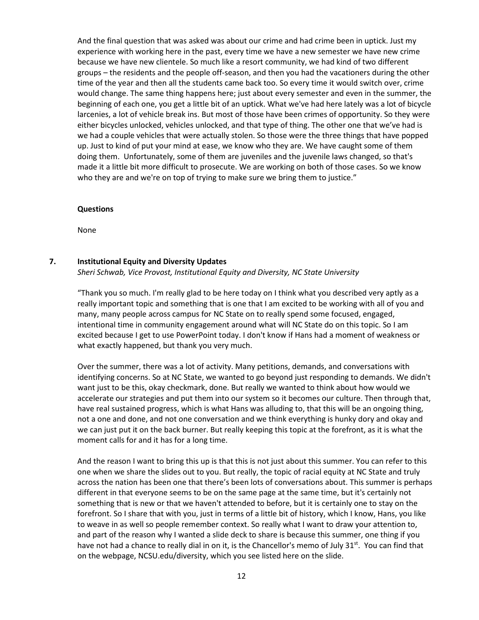And the final question that was asked was about our crime and had crime been in uptick. Just my experience with working here in the past, every time we have a new semester we have new crime because we have new clientele. So much like a resort community, we had kind of two different groups – the residents and the people off-season, and then you had the vacationers during the other time of the year and then all the students came back too. So every time it would switch over, crime would change. The same thing happens here; just about every semester and even in the summer, the beginning of each one, you get a little bit of an uptick. What we've had here lately was a lot of bicycle larcenies, a lot of vehicle break ins. But most of those have been crimes of opportunity. So they were either bicycles unlocked, vehicles unlocked, and that type of thing. The other one that we've had is we had a couple vehicles that were actually stolen. So those were the three things that have popped up. Just to kind of put your mind at ease, we know who they are. We have caught some of them doing them. Unfortunately, some of them are juveniles and the juvenile laws changed, so that's made it a little bit more difficult to prosecute. We are working on both of those cases. So we know who they are and we're on top of trying to make sure we bring them to justice."

#### **Questions**

None

#### **7. Institutional Equity and Diversity Updates**

*Sheri Schwab, Vice Provost, Institutional Equity and Diversity, NC State University*

"Thank you so much. I'm really glad to be here today on I think what you described very aptly as a really important topic and something that is one that I am excited to be working with all of you and many, many people across campus for NC State on to really spend some focused, engaged, intentional time in community engagement around what will NC State do on this topic. So I am excited because I get to use PowerPoint today. I don't know if Hans had a moment of weakness or what exactly happened, but thank you very much.

Over the summer, there was a lot of activity. Many petitions, demands, and conversations with identifying concerns. So at NC State, we wanted to go beyond just responding to demands. We didn't want just to be this, okay checkmark, done. But really we wanted to think about how would we accelerate our strategies and put them into our system so it becomes our culture. Then through that, have real sustained progress, which is what Hans was alluding to, that this will be an ongoing thing, not a one and done, and not one conversation and we think everything is hunky dory and okay and we can just put it on the back burner. But really keeping this topic at the forefront, as it is what the moment calls for and it has for a long time.

And the reason I want to bring this up is that this is not just about this summer. You can refer to this one when we share the slides out to you. But really, the topic of racial equity at NC State and truly across the nation has been one that there's been lots of conversations about. This summer is perhaps different in that everyone seems to be on the same page at the same time, but it's certainly not something that is new or that we haven't attended to before, but it is certainly one to stay on the forefront. So I share that with you, just in terms of a little bit of history, which I know, Hans, you like to weave in as well so people remember context. So really what I want to draw your attention to, and part of the reason why I wanted a slide deck to share is because this summer, one thing if you have not had a chance to really dial in on it, is the Chancellor's memo of July 31<sup>st</sup>. You can find that on the webpage, NCSU.edu/diversity, which you see listed here on the slide.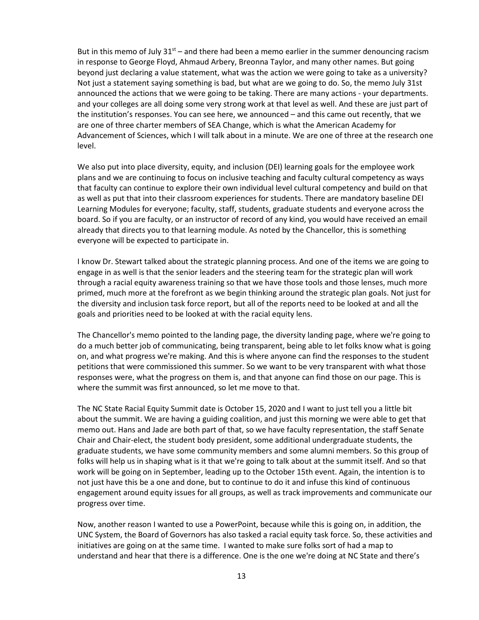But in this memo of July  $31^{st}$  – and there had been a memo earlier in the summer denouncing racism in response to George Floyd, Ahmaud Arbery, Breonna Taylor, and many other names. But going beyond just declaring a value statement, what was the action we were going to take as a university? Not just a statement saying something is bad, but what are we going to do. So, the memo July 31st announced the actions that we were going to be taking. There are many actions - your departments. and your colleges are all doing some very strong work at that level as well. And these are just part of the institution's responses. You can see here, we announced – and this came out recently, that we are one of three charter members of SEA Change, which is what the American Academy for Advancement of Sciences, which I will talk about in a minute. We are one of three at the research one level.

We also put into place diversity, equity, and inclusion (DEI) learning goals for the employee work plans and we are continuing to focus on inclusive teaching and faculty cultural competency as ways that faculty can continue to explore their own individual level cultural competency and build on that as well as put that into their classroom experiences for students. There are mandatory baseline DEI Learning Modules for everyone; faculty, staff, students, graduate students and everyone across the board. So if you are faculty, or an instructor of record of any kind, you would have received an email already that directs you to that learning module. As noted by the Chancellor, this is something everyone will be expected to participate in.

I know Dr. Stewart talked about the strategic planning process. And one of the items we are going to engage in as well is that the senior leaders and the steering team for the strategic plan will work through a racial equity awareness training so that we have those tools and those lenses, much more primed, much more at the forefront as we begin thinking around the strategic plan goals. Not just for the diversity and inclusion task force report, but all of the reports need to be looked at and all the goals and priorities need to be looked at with the racial equity lens.

The Chancellor's memo pointed to the landing page, the diversity landing page, where we're going to do a much better job of communicating, being transparent, being able to let folks know what is going on, and what progress we're making. And this is where anyone can find the responses to the student petitions that were commissioned this summer. So we want to be very transparent with what those responses were, what the progress on them is, and that anyone can find those on our page. This is where the summit was first announced, so let me move to that.

The NC State Racial Equity Summit date is October 15, 2020 and I want to just tell you a little bit about the summit. We are having a guiding coalition, and just this morning we were able to get that memo out. Hans and Jade are both part of that, so we have faculty representation, the staff Senate Chair and Chair-elect, the student body president, some additional undergraduate students, the graduate students, we have some community members and some alumni members. So this group of folks will help us in shaping what is it that we're going to talk about at the summit itself. And so that work will be going on in September, leading up to the October 15th event. Again, the intention is to not just have this be a one and done, but to continue to do it and infuse this kind of continuous engagement around equity issues for all groups, as well as track improvements and communicate our progress over time.

Now, another reason I wanted to use a PowerPoint, because while this is going on, in addition, the UNC System, the Board of Governors has also tasked a racial equity task force. So, these activities and initiatives are going on at the same time. I wanted to make sure folks sort of had a map to understand and hear that there is a difference. One is the one we're doing at NC State and there's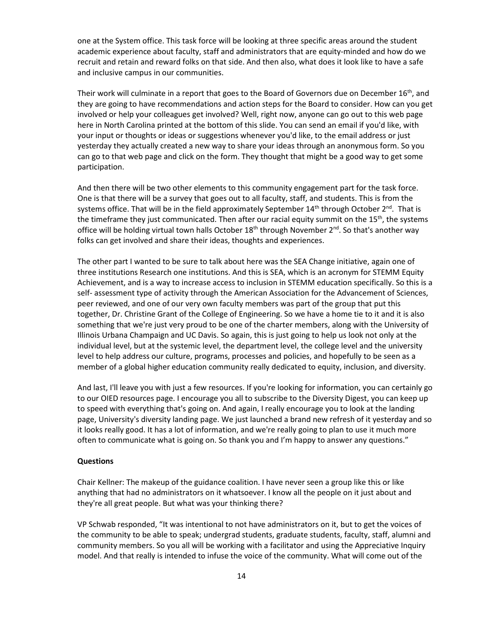one at the System office. This task force will be looking at three specific areas around the student academic experience about faculty, staff and administrators that are equity-minded and how do we recruit and retain and reward folks on that side. And then also, what does it look like to have a safe and inclusive campus in our communities.

Their work will culminate in a report that goes to the Board of Governors due on December  $16<sup>th</sup>$ , and they are going to have recommendations and action steps for the Board to consider. How can you get involved or help your colleagues get involved? Well, right now, anyone can go out to this web page here in North Carolina printed at the bottom of this slide. You can send an email if you'd like, with your input or thoughts or ideas or suggestions whenever you'd like, to the email address or just yesterday they actually created a new way to share your ideas through an anonymous form. So you can go to that web page and click on the form. They thought that might be a good way to get some participation.

And then there will be two other elements to this community engagement part for the task force. One is that there will be a survey that goes out to all faculty, staff, and students. This is from the systems office. That will be in the field approximately September  $14<sup>th</sup>$  through October  $2<sup>nd</sup>$ . That is the timeframe they just communicated. Then after our racial equity summit on the 15<sup>th</sup>, the systems office will be holding virtual town halls October  $18<sup>th</sup>$  through November  $2<sup>nd</sup>$ . So that's another way folks can get involved and share their ideas, thoughts and experiences.

The other part I wanted to be sure to talk about here was the SEA Change initiative, again one of three institutions Research one institutions. And this is SEA, which is an acronym for STEMM Equity Achievement, and is a way to increase access to inclusion in STEMM education specifically. So this is a self- assessment type of activity through the American Association for the Advancement of Sciences, peer reviewed, and one of our very own faculty members was part of the group that put this together, Dr. Christine Grant of the College of Engineering. So we have a home tie to it and it is also something that we're just very proud to be one of the charter members, along with the University of Illinois Urbana Champaign and UC Davis. So again, this is just going to help us look not only at the individual level, but at the systemic level, the department level, the college level and the university level to help address our culture, programs, processes and policies, and hopefully to be seen as a member of a global higher education community really dedicated to equity, inclusion, and diversity.

And last, I'll leave you with just a few resources. If you're looking for information, you can certainly go to our OIED resources page. I encourage you all to subscribe to the Diversity Digest, you can keep up to speed with everything that's going on. And again, I really encourage you to look at the landing page, University's diversity landing page. We just launched a brand new refresh of it yesterday and so it looks really good. It has a lot of information, and we're really going to plan to use it much more often to communicate what is going on. So thank you and I'm happy to answer any questions."

#### **Questions**

Chair Kellner: The makeup of the guidance coalition. I have never seen a group like this or like anything that had no administrators on it whatsoever. I know all the people on it just about and they're all great people. But what was your thinking there?

VP Schwab responded, "It was intentional to not have administrators on it, but to get the voices of the community to be able to speak; undergrad students, graduate students, faculty, staff, alumni and community members. So you all will be working with a facilitator and using the Appreciative Inquiry model. And that really is intended to infuse the voice of the community. What will come out of the